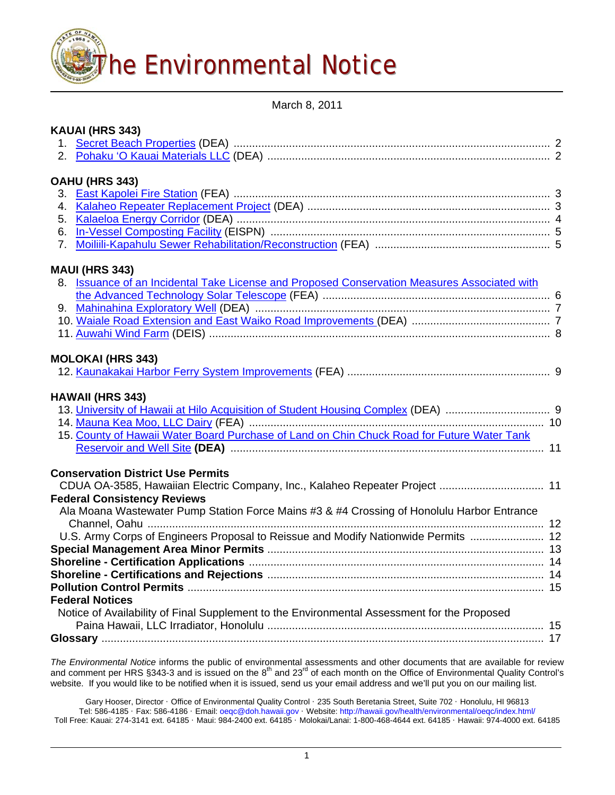

March 8, 2011

| KAUAI (HRS 343)                                                                              |  |
|----------------------------------------------------------------------------------------------|--|
|                                                                                              |  |
|                                                                                              |  |
| OAHU (HRS 343)                                                                               |  |
|                                                                                              |  |
|                                                                                              |  |
|                                                                                              |  |
|                                                                                              |  |
|                                                                                              |  |
| <b>MAUI (HRS 343)</b>                                                                        |  |
| 8. Issuance of an Incidental Take License and Proposed Conservation Measures Associated with |  |
|                                                                                              |  |
|                                                                                              |  |
|                                                                                              |  |
|                                                                                              |  |
| <b>MOLOKAI (HRS 343)</b>                                                                     |  |
|                                                                                              |  |
| <b>HAWAII (HRS 343)</b>                                                                      |  |
|                                                                                              |  |
|                                                                                              |  |
| 15. County of Hawaii Water Board Purchase of Land on Chin Chuck Road for Future Water Tank   |  |
|                                                                                              |  |
| <b>Conservation District Use Permits</b>                                                     |  |
| CDUA OA-3585, Hawaiian Electric Company, Inc., Kalaheo Repeater Project  11                  |  |
| <b>Federal Consistency Reviews</b>                                                           |  |
| Ala Moana Wastewater Pump Station Force Mains #3 & #4 Crossing of Honolulu Harbor Entrance   |  |
|                                                                                              |  |
| U.S. Army Corps of Engineers Proposal to Reissue and Modify Nationwide Permits  12           |  |
|                                                                                              |  |
|                                                                                              |  |
|                                                                                              |  |
|                                                                                              |  |
| <b>Federal Notices</b>                                                                       |  |
| Notice of Availability of Final Supplement to the Environmental Assessment for the Proposed  |  |
|                                                                                              |  |
|                                                                                              |  |
|                                                                                              |  |

*The Environmental Notice* informs the public of environmental assessments and other documents that are available for review and comment per HRS §343-3 and is issued on the 8<sup>th</sup> and 23<sup>rd</sup> of each month on the Office of Environmental Quality Control's website. If you would like to be notified when it is issued, send us your email address and we'll put you on our mailing list.

Gary Hooser, Director · Office of Environmental Quality Control · 235 South Beretania Street, Suite 702 · Honolulu, HI 96813 Tel: 586-4185 · Fax: 586-4186 · Email: [oeqc@doh.hawaii.gov](mailto:oeqc@doh.hawaii.gov) · Website: <http://hawaii.gov/health/environmental/oeqc/index.html/> Toll Free: Kauai: 274-3141 ext. 64185 · Maui: 984-2400 ext. 64185 · Molokai/Lanai: 1-800-468-4644 ext. 64185 · Hawaii: 974-4000 ext. 64185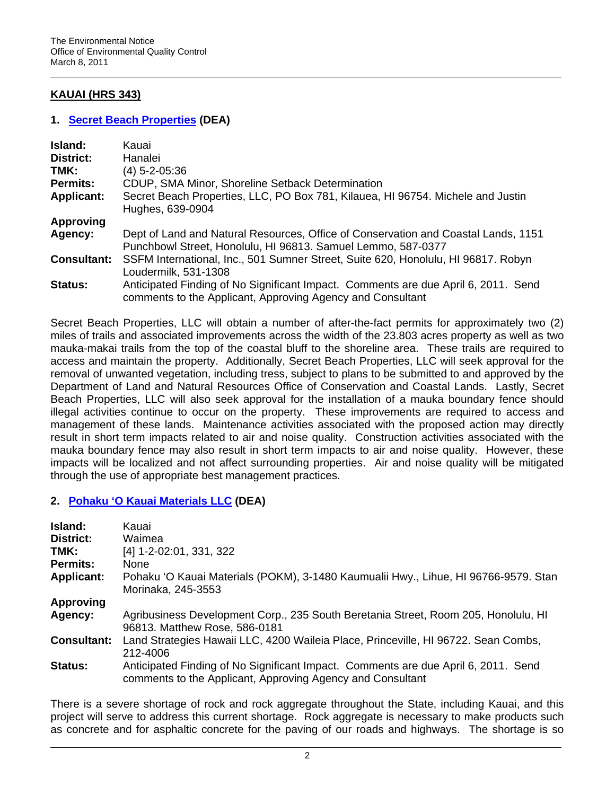# **KAUAI (HRS 343)**

### **1. [Secret Beach Properties](http://oeqc.doh.hawaii.gov/Shared%20Documents/EA_and_EIS_Online_Library/Kauai/2010s/2011-03-08-KA-DEA-Secret-Beach.pdf) (DEA)**

| <b>Island:</b>     | Kauai                                                                                                                                              |
|--------------------|----------------------------------------------------------------------------------------------------------------------------------------------------|
| District:          | Hanalei                                                                                                                                            |
| TMK:               | (4) 5-2-05:36                                                                                                                                      |
| <b>Permits:</b>    | CDUP, SMA Minor, Shoreline Setback Determination                                                                                                   |
| <b>Applicant:</b>  | Secret Beach Properties, LLC, PO Box 781, Kilauea, HI 96754. Michele and Justin<br>Hughes, 639-0904                                                |
| <b>Approving</b>   |                                                                                                                                                    |
| Agency:            | Dept of Land and Natural Resources, Office of Conservation and Coastal Lands, 1151<br>Punchbowl Street, Honolulu, HI 96813. Samuel Lemmo, 587-0377 |
| <b>Consultant:</b> | SSFM International, Inc., 501 Sumner Street, Suite 620, Honolulu, HI 96817. Robyn<br>Loudermilk, 531-1308                                          |
| Status:            | Anticipated Finding of No Significant Impact. Comments are due April 6, 2011. Send<br>comments to the Applicant, Approving Agency and Consultant   |

Secret Beach Properties, LLC will obtain a number of after-the-fact permits for approximately two (2) miles of trails and associated improvements across the width of the 23.803 acres property as well as two mauka-makai trails from the top of the coastal bluff to the shoreline area. These trails are required to access and maintain the property. Additionally, Secret Beach Properties, LLC will seek approval for the removal of unwanted vegetation, including tress, subject to plans to be submitted to and approved by the Department of Land and Natural Resources Office of Conservation and Coastal Lands. Lastly, Secret Beach Properties, LLC will also seek approval for the installation of a mauka boundary fence should illegal activities continue to occur on the property. These improvements are required to access and management of these lands. Maintenance activities associated with the proposed action may directly result in short term impacts related to air and noise quality. Construction activities associated with the mauka boundary fence may also result in short term impacts to air and noise quality. However, these impacts will be localized and not affect surrounding properties. Air and noise quality will be mitigated through the use of appropriate best management practices.

### **2. [Pohaku 'O Kauai Materials LLC](http://oeqc.doh.hawaii.gov/Shared%20Documents/EA_and_EIS_Online_Library/Kauai/2010s/2011-03-08-KA-DEA-Pohaku-Materials.pdf) (DEA)**

| Island:            | Kauai                                                                                                                                            |
|--------------------|--------------------------------------------------------------------------------------------------------------------------------------------------|
| District:          | Waimea                                                                                                                                           |
| TMK:               | [4] 1-2-02:01, 331, 322                                                                                                                          |
| <b>Permits:</b>    | None                                                                                                                                             |
| <b>Applicant:</b>  | Pohaku 'O Kauai Materials (POKM), 3-1480 Kaumualii Hwy., Lihue, HI 96766-9579. Stan<br>Morinaka, 245-3553                                        |
| <b>Approving</b>   |                                                                                                                                                  |
| Agency:            | Agribusiness Development Corp., 235 South Beretania Street, Room 205, Honolulu, HI<br>96813. Matthew Rose, 586-0181                              |
| <b>Consultant:</b> | Land Strategies Hawaii LLC, 4200 Waileia Place, Princeville, HI 96722. Sean Combs,<br>212-4006                                                   |
| Status:            | Anticipated Finding of No Significant Impact. Comments are due April 6, 2011. Send<br>comments to the Applicant, Approving Agency and Consultant |

There is a severe shortage of rock and rock aggregate throughout the State, including Kauai, and this project will serve to address this current shortage. Rock aggregate is necessary to make products such as concrete and for asphaltic concrete for the paving of our roads and highways. The shortage is so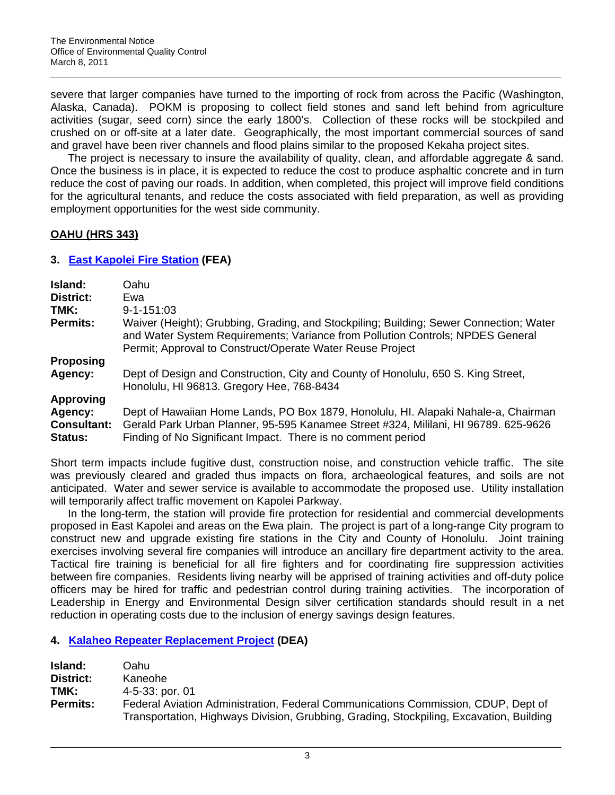severe that larger companies have turned to the importing of rock from across the Pacific (Washington, Alaska, Canada). POKM is proposing to collect field stones and sand left behind from agriculture activities (sugar, seed corn) since the early 1800's. Collection of these rocks will be stockpiled and crushed on or off-site at a later date. Geographically, the most important commercial sources of sand and gravel have been river channels and flood plains similar to the proposed Kekaha project sites.

The project is necessary to insure the availability of quality, clean, and affordable aggregate & sand. Once the business is in place, it is expected to reduce the cost to produce asphaltic concrete and in turn reduce the cost of paving our roads. In addition, when completed, this project will improve field conditions for the agricultural tenants, and reduce the costs associated with field preparation, as well as providing employment opportunities for the west side community.

# **OAHU (HRS 343)**

# **3. [East Kapolei Fire Station](http://oeqc.doh.hawaii.gov/Shared%20Documents/EA_and_EIS_Online_Library/Oahu/2010s/2011-03-08-OA-FEA-East-Kapolei-Fire-Station.pdf) (FEA)**

| Island:            | Oahu                                                                                                                                                                                                                                  |
|--------------------|---------------------------------------------------------------------------------------------------------------------------------------------------------------------------------------------------------------------------------------|
| <b>District:</b>   | Ewa                                                                                                                                                                                                                                   |
| TMK:               | $9 - 1 - 151.03$                                                                                                                                                                                                                      |
| <b>Permits:</b>    | Waiver (Height); Grubbing, Grading, and Stockpiling; Building; Sewer Connection; Water<br>and Water System Requirements; Variance from Pollution Controls; NPDES General<br>Permit; Approval to Construct/Operate Water Reuse Project |
| <b>Proposing</b>   |                                                                                                                                                                                                                                       |
| Agency:            | Dept of Design and Construction, City and County of Honolulu, 650 S. King Street,<br>Honolulu, HI 96813. Gregory Hee, 768-8434                                                                                                        |
| <b>Approving</b>   |                                                                                                                                                                                                                                       |
| Agency:            | Dept of Hawaiian Home Lands, PO Box 1879, Honolulu, HI. Alapaki Nahale-a, Chairman                                                                                                                                                    |
| <b>Consultant:</b> | Gerald Park Urban Planner, 95-595 Kanamee Street #324, Mililani, HI 96789. 625-9626                                                                                                                                                   |
| <b>Status:</b>     | Finding of No Significant Impact. There is no comment period                                                                                                                                                                          |

Short term impacts include fugitive dust, construction noise, and construction vehicle traffic. The site was previously cleared and graded thus impacts on flora, archaeological features, and soils are not anticipated. Water and sewer service is available to accommodate the proposed use. Utility installation will temporarily affect traffic movement on Kapolei Parkway.

In the long-term, the station will provide fire protection for residential and commercial developments proposed in East Kapolei and areas on the Ewa plain. The project is part of a long-range City program to construct new and upgrade existing fire stations in the City and County of Honolulu. Joint training exercises involving several fire companies will introduce an ancillary fire department activity to the area. Tactical fire training is beneficial for all fire fighters and for coordinating fire suppression activities between fire companies. Residents living nearby will be apprised of training activities and off-duty police officers may be hired for traffic and pedestrian control during training activities. The incorporation of Leadership in Energy and Environmental Design silver certification standards should result in a net reduction in operating costs due to the inclusion of energy savings design features.

# **4. [Kalaheo Repeater Replacement Project](http://oeqc.doh.hawaii.gov/Shared%20Documents/EA_and_EIS_Online_Library/Oahu/2010s/2011-03-08-OA-DEA-Kalaheo-Repeater.pdf) (DEA)**

| <b>Island:</b>  | Oahu                                                                                    |
|-----------------|-----------------------------------------------------------------------------------------|
| District:       | Kaneohe                                                                                 |
| TMK:            | 4-5-33: por. 01                                                                         |
| <b>Permits:</b> | Federal Aviation Administration, Federal Communications Commission, CDUP, Dept of       |
|                 | Transportation, Highways Division, Grubbing, Grading, Stockpiling, Excavation, Building |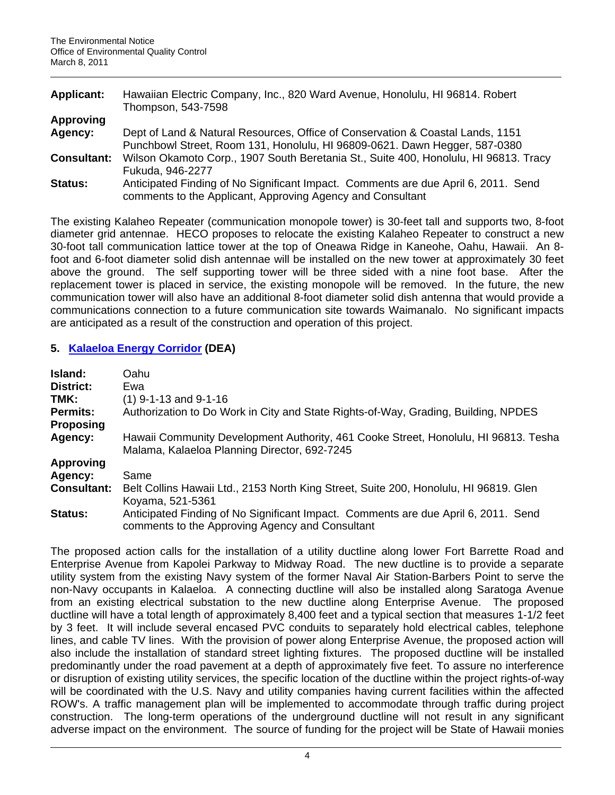| <b>Applicant:</b>  | Hawaiian Electric Company, Inc., 820 Ward Avenue, Honolulu, HI 96814. Robert<br>Thompson, 543-7598 |
|--------------------|----------------------------------------------------------------------------------------------------|
| <b>Approving</b>   |                                                                                                    |
| Agency:            | Dept of Land & Natural Resources, Office of Conservation & Coastal Lands, 1151                     |
|                    | Punchbowl Street, Room 131, Honolulu, HI 96809-0621. Dawn Hegger, 587-0380                         |
| <b>Consultant:</b> | Wilson Okamoto Corp., 1907 South Beretania St., Suite 400, Honolulu, HI 96813. Tracy               |
|                    | Fukuda, 946-2277                                                                                   |
| <b>Status:</b>     | Anticipated Finding of No Significant Impact. Comments are due April 6, 2011. Send                 |
|                    | comments to the Applicant, Approving Agency and Consultant                                         |

The existing Kalaheo Repeater (communication monopole tower) is 30-feet tall and supports two, 8-foot diameter grid antennae. HECO proposes to relocate the existing Kalaheo Repeater to construct a new 30-foot tall communication lattice tower at the top of Oneawa Ridge in Kaneohe, Oahu, Hawaii. An 8 foot and 6-foot diameter solid dish antennae will be installed on the new tower at approximately 30 feet above the ground. The self supporting tower will be three sided with a nine foot base. After the replacement tower is placed in service, the existing monopole will be removed. In the future, the new communication tower will also have an additional 8-foot diameter solid dish antenna that would provide a communications connection to a future communication site towards Waimanalo. No significant impacts are anticipated as a result of the construction and operation of this project.

### **5. [Kalaeloa Energy Corridor](http://oeqc.doh.hawaii.gov/Shared%20Documents/EA_and_EIS_Online_Library/Oahu/2010s/2011-03-08-OA-DEA-Kalaeloa-Energy-Corridor.pdf) (DEA)**

| Island:            | Oahu                                                                                                                                  |
|--------------------|---------------------------------------------------------------------------------------------------------------------------------------|
| <b>District:</b>   | Ewa                                                                                                                                   |
| TMK:               | $(1)$ 9-1-13 and 9-1-16                                                                                                               |
| <b>Permits:</b>    | Authorization to Do Work in City and State Rights-of-Way, Grading, Building, NPDES                                                    |
| <b>Proposing</b>   |                                                                                                                                       |
| Agency:            | Hawaii Community Development Authority, 461 Cooke Street, Honolulu, HI 96813. Tesha<br>Malama, Kalaeloa Planning Director, 692-7245   |
| <b>Approving</b>   |                                                                                                                                       |
| Agency:            | Same                                                                                                                                  |
| <b>Consultant:</b> | Belt Collins Hawaii Ltd., 2153 North King Street, Suite 200, Honolulu, HI 96819. Glen<br>Koyama, 521-5361                             |
| <b>Status:</b>     | Anticipated Finding of No Significant Impact. Comments are due April 6, 2011. Send<br>comments to the Approving Agency and Consultant |

The proposed action calls for the installation of a utility ductline along lower Fort Barrette Road and Enterprise Avenue from Kapolei Parkway to Midway Road. The new ductline is to provide a separate utility system from the existing Navy system of the former Naval Air Station-Barbers Point to serve the non-Navy occupants in Kalaeloa. A connecting ductline will also be installed along Saratoga Avenue from an existing electrical substation to the new ductline along Enterprise Avenue. The proposed ductline will have a total length of approximately 8,400 feet and a typical section that measures 1-1/2 feet by 3 feet. It will include several encased PVC conduits to separately hold electrical cables, telephone lines, and cable TV lines. With the provision of power along Enterprise Avenue, the proposed action will also include the installation of standard street lighting fixtures. The proposed ductline will be installed predominantly under the road pavement at a depth of approximately five feet. To assure no interference or disruption of existing utility services, the specific location of the ductline within the project rights-of-way will be coordinated with the U.S. Navy and utility companies having current facilities within the affected ROW's. A traffic management plan will be implemented to accommodate through traffic during project construction. The long-term operations of the underground ductline will not result in any significant adverse impact on the environment. The source of funding for the project will be State of Hawaii monies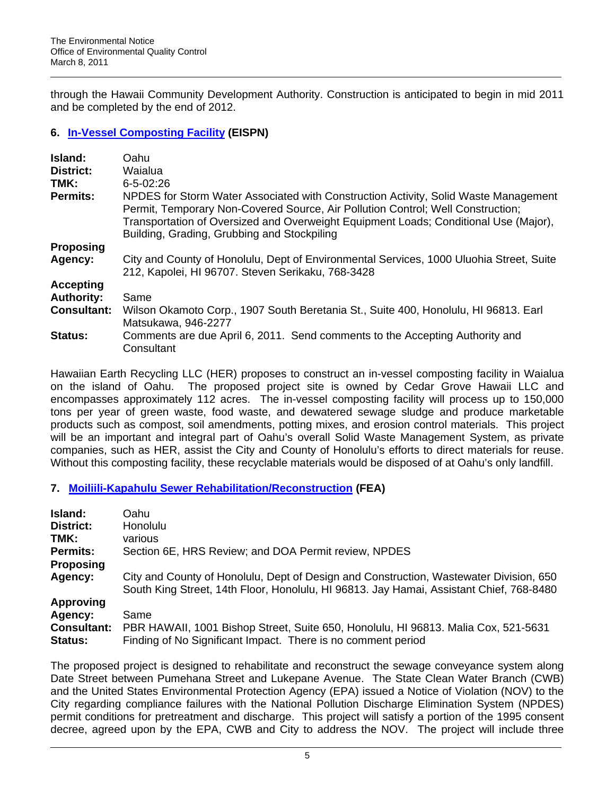through the Hawaii Community Development Authority. Construction is anticipated to begin in mid 2011 and be completed by the end of 2012.

# **6. [In-Vessel Composting Facility](http://oeqc.doh.hawaii.gov/Shared%20Documents/EA_and_EIS_Online_Library/Oahu/2010s/2011-03-08-OA-EISPN-In-Vessel-Composting-Facility.pdf) (EISPN)**

| Island:            | Oahu                                                                                                                                                                                                                                                                                                          |
|--------------------|---------------------------------------------------------------------------------------------------------------------------------------------------------------------------------------------------------------------------------------------------------------------------------------------------------------|
| <b>District:</b>   | <b>Waialua</b>                                                                                                                                                                                                                                                                                                |
| TMK:               | $6 - 5 - 02:26$                                                                                                                                                                                                                                                                                               |
| Permits:           | NPDES for Storm Water Associated with Construction Activity, Solid Waste Management<br>Permit, Temporary Non-Covered Source, Air Pollution Control; Well Construction;<br>Transportation of Oversized and Overweight Equipment Loads; Conditional Use (Major),<br>Building, Grading, Grubbing and Stockpiling |
| <b>Proposing</b>   |                                                                                                                                                                                                                                                                                                               |
| Agency:            | City and County of Honolulu, Dept of Environmental Services, 1000 Uluohia Street, Suite<br>212, Kapolei, HI 96707. Steven Serikaku, 768-3428                                                                                                                                                                  |
| <b>Accepting</b>   |                                                                                                                                                                                                                                                                                                               |
| <b>Authority:</b>  | Same                                                                                                                                                                                                                                                                                                          |
| <b>Consultant:</b> | Wilson Okamoto Corp., 1907 South Beretania St., Suite 400, Honolulu, HI 96813. Earl<br>Matsukawa, 946-2277                                                                                                                                                                                                    |
| Status:            | Comments are due April 6, 2011. Send comments to the Accepting Authority and<br>Consultant                                                                                                                                                                                                                    |

Hawaiian Earth Recycling LLC (HER) proposes to construct an in-vessel composting facility in Waialua on the island of Oahu. The proposed project site is owned by Cedar Grove Hawaii LLC and encompasses approximately 112 acres. The in-vessel composting facility will process up to 150,000 tons per year of green waste, food waste, and dewatered sewage sludge and produce marketable products such as compost, soil amendments, potting mixes, and erosion control materials. This project will be an important and integral part of Oahu's overall Solid Waste Management System, as private companies, such as HER, assist the City and County of Honolulu's efforts to direct materials for reuse. Without this composting facility, these recyclable materials would be disposed of at Oahu's only landfill.

### **7. [Moiliili-Kapahulu Sewer Rehabilitation/Reconstruction](http://oeqc.doh.hawaii.gov/Shared%20Documents/EA_and_EIS_Online_Library/Oahu/2010s/2011-03-08-OA-FEA-Moiliili-Kapahulu-Sewer.pdf) (FEA)**

| Island:                       | Oahu                                                                                                                                                                              |
|-------------------------------|-----------------------------------------------------------------------------------------------------------------------------------------------------------------------------------|
| District:                     | Honolulu                                                                                                                                                                          |
| TMK:                          | various                                                                                                                                                                           |
| <b>Permits:</b>               | Section 6E, HRS Review; and DOA Permit review, NPDES                                                                                                                              |
| <b>Proposing</b>              |                                                                                                                                                                                   |
| Agency:                       | City and County of Honolulu, Dept of Design and Construction, Wastewater Division, 650<br>South King Street, 14th Floor, Honolulu, HI 96813. Jay Hamai, Assistant Chief, 768-8480 |
| <b>Approving</b>              |                                                                                                                                                                                   |
| Agency:                       | Same                                                                                                                                                                              |
| <b>Consultant:</b><br>Status: | PBR HAWAII, 1001 Bishop Street, Suite 650, Honolulu, HI 96813. Malia Cox, 521-5631<br>Finding of No Significant Impact. There is no comment period                                |

The proposed project is designed to rehabilitate and reconstruct the sewage conveyance system along Date Street between Pumehana Street and Lukepane Avenue. The State Clean Water Branch (CWB) and the United States Environmental Protection Agency (EPA) issued a Notice of Violation (NOV) to the City regarding compliance failures with the National Pollution Discharge Elimination System (NPDES) permit conditions for pretreatment and discharge. This project will satisfy a portion of the 1995 consent decree, agreed upon by the EPA, CWB and City to address the NOV. The project will include three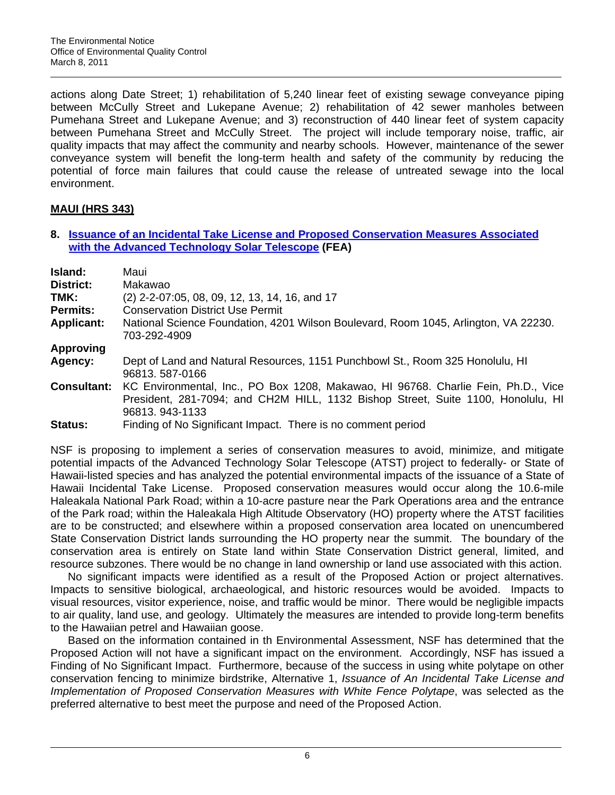actions along Date Street; 1) rehabilitation of 5,240 linear feet of existing sewage conveyance piping between McCully Street and Lukepane Avenue; 2) rehabilitation of 42 sewer manholes between Pumehana Street and Lukepane Avenue; and 3) reconstruction of 440 linear feet of system capacity between Pumehana Street and McCully Street. The project will include temporary noise, traffic, air quality impacts that may affect the community and nearby schools. However, maintenance of the sewer conveyance system will benefit the long-term health and safety of the community by reducing the potential of force main failures that could cause the release of untreated sewage into the local environment.

# **MAUI (HRS 343)**

**8. [Issuance of an Incidental Take License and Proposed Conservation Measures Associated](http://oeqc.doh.hawaii.gov/Shared%20Documents/EA_and_EIS_Online_Library/Maui/2010s/2011-03-08-MA-FEA-Advanced-Tech-Solar-Telescope.pdf)  [with the Advanced Technology Solar Telescope](http://oeqc.doh.hawaii.gov/Shared%20Documents/EA_and_EIS_Online_Library/Maui/2010s/2011-03-08-MA-FEA-Advanced-Tech-Solar-Telescope.pdf) (FEA)** 

| Island:<br><b>District:</b> | Maui<br>Makawao                                                                                                                                                                         |
|-----------------------------|-----------------------------------------------------------------------------------------------------------------------------------------------------------------------------------------|
| TMK:<br><b>Permits:</b>     | (2) 2-2-07:05, 08, 09, 12, 13, 14, 16, and 17<br><b>Conservation District Use Permit</b>                                                                                                |
| <b>Applicant:</b>           | National Science Foundation, 4201 Wilson Boulevard, Room 1045, Arlington, VA 22230.<br>703-292-4909                                                                                     |
| <b>Approving</b>            |                                                                                                                                                                                         |
| Agency:                     | Dept of Land and Natural Resources, 1151 Punchbowl St., Room 325 Honolulu, HI<br>96813.587-0166                                                                                         |
| <b>Consultant:</b>          | KC Environmental, Inc., PO Box 1208, Makawao, HI 96768. Charlie Fein, Ph.D., Vice<br>President, 281-7094; and CH2M HILL, 1132 Bishop Street, Suite 1100, Honolulu, HI<br>96813.943-1133 |
| Status:                     | Finding of No Significant Impact. There is no comment period                                                                                                                            |

NSF is proposing to implement a series of conservation measures to avoid, minimize, and mitigate potential impacts of the Advanced Technology Solar Telescope (ATST) project to federally- or State of Hawaii-listed species and has analyzed the potential environmental impacts of the issuance of a State of Hawaii Incidental Take License. Proposed conservation measures would occur along the 10.6-mile Haleakala National Park Road; within a 10-acre pasture near the Park Operations area and the entrance of the Park road; within the Haleakala High Altitude Observatory (HO) property where the ATST facilities are to be constructed; and elsewhere within a proposed conservation area located on unencumbered State Conservation District lands surrounding the HO property near the summit. The boundary of the conservation area is entirely on State land within State Conservation District general, limited, and resource subzones. There would be no change in land ownership or land use associated with this action.

No significant impacts were identified as a result of the Proposed Action or project alternatives. Impacts to sensitive biological, archaeological, and historic resources would be avoided. Impacts to visual resources, visitor experience, noise, and traffic would be minor. There would be negligible impacts to air quality, land use, and geology. Ultimately the measures are intended to provide long-term benefits to the Hawaiian petrel and Hawaiian goose.

Based on the information contained in th Environmental Assessment, NSF has determined that the Proposed Action will not have a significant impact on the environment. Accordingly, NSF has issued a Finding of No Significant Impact. Furthermore, because of the success in using white polytape on other conservation fencing to minimize birdstrike, Alternative 1, *Issuance of An Incidental Take License and Implementation of Proposed Conservation Measures with White Fence Polytape*, was selected as the preferred alternative to best meet the purpose and need of the Proposed Action.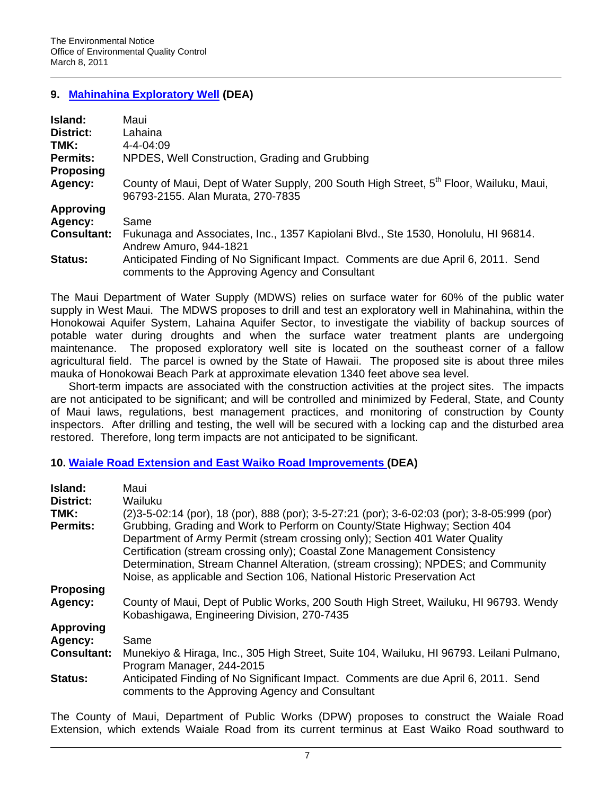# **9. [Mahinahina Exploratory Well](http://oeqc.doh.hawaii.gov/Shared%20Documents/EA_and_EIS_Online_Library/Maui/2010s/2011-03-08-MA-DEA-Mahinahina-Exploratory-Well.pdf) (DEA)**

| Island:            | Maui                                                                                                                                  |
|--------------------|---------------------------------------------------------------------------------------------------------------------------------------|
| District:          | Lahaina                                                                                                                               |
| TMK:               | $4 - 4 - 04 \cdot 09$                                                                                                                 |
| <b>Permits:</b>    | NPDES, Well Construction, Grading and Grubbing                                                                                        |
| <b>Proposing</b>   |                                                                                                                                       |
| Agency:            | County of Maui, Dept of Water Supply, 200 South High Street, 5 <sup>th</sup> Floor, Wailuku, Maui,                                    |
|                    | 96793-2155. Alan Murata, 270-7835                                                                                                     |
| <b>Approving</b>   |                                                                                                                                       |
| Agency:            | Same                                                                                                                                  |
| <b>Consultant:</b> | Fukunaga and Associates, Inc., 1357 Kapiolani Blvd., Ste 1530, Honolulu, HI 96814.<br>Andrew Amuro, 944-1821                          |
| Status:            | Anticipated Finding of No Significant Impact. Comments are due April 6, 2011. Send<br>comments to the Approving Agency and Consultant |

The Maui Department of Water Supply (MDWS) relies on surface water for 60% of the public water supply in West Maui. The MDWS proposes to drill and test an exploratory well in Mahinahina, within the Honokowai Aquifer System, Lahaina Aquifer Sector, to investigate the viability of backup sources of potable water during droughts and when the surface water treatment plants are undergoing maintenance. The proposed exploratory well site is located on the southeast corner of a fallow agricultural field. The parcel is owned by the State of Hawaii. The proposed site is about three miles mauka of Honokowai Beach Park at approximate elevation 1340 feet above sea level.

Short-term impacts are associated with the construction activities at the project sites. The impacts are not anticipated to be significant; and will be controlled and minimized by Federal, State, and County of Maui laws, regulations, best management practices, and monitoring of construction by County inspectors. After drilling and testing, the well will be secured with a locking cap and the disturbed area restored. Therefore, long term impacts are not anticipated to be significant.

### **10. [Waiale Road Extension and East Waiko Road Improvements \(](http://oeqc.doh.hawaii.gov/Shared%20Documents/EA_and_EIS_Online_Library/Maui/2010s/2011-03-08-MA-DEA-Waiale-Road-East-Waiko-Road.pdf)DEA)**

| Island:<br><b>District:</b> | Maui<br>Wailuku                                                                                                                       |
|-----------------------------|---------------------------------------------------------------------------------------------------------------------------------------|
| TMK:                        | (2) 3-5-02:14 (por), 18 (por), 888 (por); 3-5-27:21 (por); 3-6-02:03 (por); 3-8-05:999 (por)                                          |
| <b>Permits:</b>             | Grubbing, Grading and Work to Perform on County/State Highway; Section 404                                                            |
|                             | Department of Army Permit (stream crossing only); Section 401 Water Quality                                                           |
|                             | Certification (stream crossing only); Coastal Zone Management Consistency                                                             |
|                             | Determination, Stream Channel Alteration, (stream crossing); NPDES; and Community                                                     |
|                             | Noise, as applicable and Section 106, National Historic Preservation Act                                                              |
| <b>Proposing</b>            |                                                                                                                                       |
| Agency:                     | County of Maui, Dept of Public Works, 200 South High Street, Wailuku, HI 96793. Wendy                                                 |
|                             | Kobashigawa, Engineering Division, 270-7435                                                                                           |
| <b>Approving</b>            |                                                                                                                                       |
| Agency:                     | Same                                                                                                                                  |
| <b>Consultant:</b>          | Munekiyo & Hiraga, Inc., 305 High Street, Suite 104, Wailuku, HI 96793. Leilani Pulmano,                                              |
|                             | Program Manager, 244-2015                                                                                                             |
| <b>Status:</b>              | Anticipated Finding of No Significant Impact. Comments are due April 6, 2011. Send<br>comments to the Approving Agency and Consultant |

The County of Maui, Department of Public Works (DPW) proposes to construct the Waiale Road Extension, which extends Waiale Road from its current terminus at East Waiko Road southward to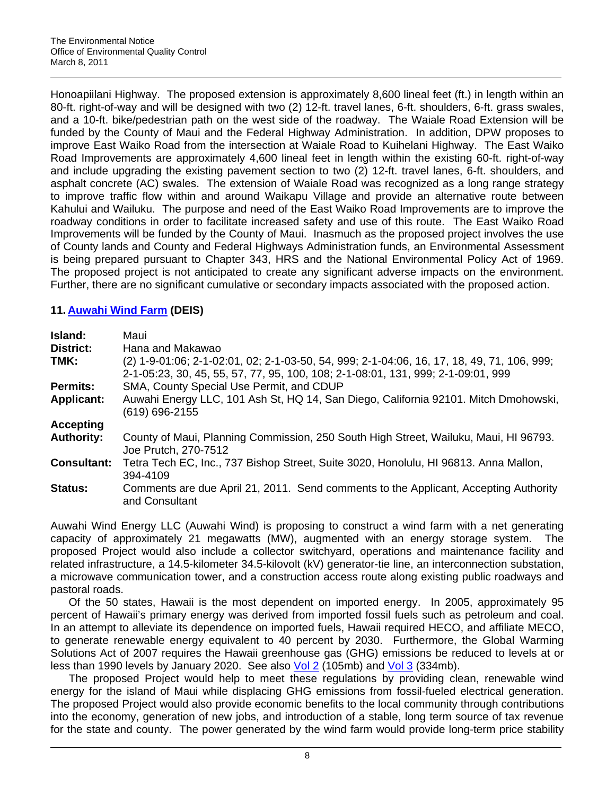Honoapiilani Highway. The proposed extension is approximately 8,600 lineal feet (ft.) in length within an 80-ft. right-of-way and will be designed with two (2) 12-ft. travel lanes, 6-ft. shoulders, 6-ft. grass swales, and a 10-ft. bike/pedestrian path on the west side of the roadway. The Waiale Road Extension will be funded by the County of Maui and the Federal Highway Administration. In addition, DPW proposes to improve East Waiko Road from the intersection at Waiale Road to Kuihelani Highway. The East Waiko Road Improvements are approximately 4,600 lineal feet in length within the existing 60-ft. right-of-way and include upgrading the existing pavement section to two (2) 12-ft. travel lanes, 6-ft. shoulders, and asphalt concrete (AC) swales. The extension of Waiale Road was recognized as a long range strategy to improve traffic flow within and around Waikapu Village and provide an alternative route between Kahului and Wailuku. The purpose and need of the East Waiko Road Improvements are to improve the roadway conditions in order to facilitate increased safety and use of this route. The East Waiko Road Improvements will be funded by the County of Maui. Inasmuch as the proposed project involves the use of County lands and County and Federal Highways Administration funds, an Environmental Assessment is being prepared pursuant to Chapter 343, HRS and the National Environmental Policy Act of 1969. The proposed project is not anticipated to create any significant adverse impacts on the environment. Further, there are no significant cumulative or secondary impacts associated with the proposed action.

# **11. [Auwahi Wind Farm](http://oeqc.doh.hawaii.gov/Shared%20Documents/EA_and_EIS_Online_Library/Maui/2010s/2011-03-08-MA-DEIS-Auwahi-Wind-Farm-Vol1.pdf) (DEIS)**

| Island:<br><b>District:</b><br>TMK: | Maui<br>Hana and Makawao<br>(2) 1-9-01:06; 2-1-02:01, 02; 2-1-03-50, 54, 999; 2-1-04:06, 16, 17, 18, 49, 71, 106, 999;<br>2-1-05:23, 30, 45, 55, 57, 77, 95, 100, 108; 2-1-08:01, 131, 999; 2-1-09:01, 999 |
|-------------------------------------|------------------------------------------------------------------------------------------------------------------------------------------------------------------------------------------------------------|
| <b>Permits:</b>                     | SMA, County Special Use Permit, and CDUP                                                                                                                                                                   |
| <b>Applicant:</b>                   | Auwahi Energy LLC, 101 Ash St, HQ 14, San Diego, California 92101. Mitch Dmohowski,<br>(619) 696-2155                                                                                                      |
| <b>Accepting</b>                    |                                                                                                                                                                                                            |
| <b>Authority:</b>                   | County of Maui, Planning Commission, 250 South High Street, Wailuku, Maui, HI 96793.<br>Joe Prutch, 270-7512                                                                                               |
| <b>Consultant:</b>                  | Tetra Tech EC, Inc., 737 Bishop Street, Suite 3020, Honolulu, HI 96813. Anna Mallon,<br>394-4109                                                                                                           |
| <b>Status:</b>                      | Comments are due April 21, 2011. Send comments to the Applicant, Accepting Authority<br>and Consultant                                                                                                     |

Auwahi Wind Energy LLC (Auwahi Wind) is proposing to construct a wind farm with a net generating capacity of approximately 21 megawatts (MW), augmented with an energy storage system. The proposed Project would also include a collector switchyard, operations and maintenance facility and related infrastructure, a 14.5-kilometer 34.5-kilovolt (kV) generator-tie line, an interconnection substation, a microwave communication tower, and a construction access route along existing public roadways and pastoral roads.

Of the 50 states, Hawaii is the most dependent on imported energy. In 2005, approximately 95 percent of Hawaii's primary energy was derived from imported fossil fuels such as petroleum and coal. In an attempt to alleviate its dependence on imported fuels, Hawaii required HECO, and affiliate MECO, to generate renewable energy equivalent to 40 percent by 2030. Furthermore, the Global Warming Solutions Act of 2007 requires the Hawaii greenhouse gas (GHG) emissions be reduced to levels at or less than 1990 levels by January 2020. See also [Vol 2](http://oeqc.doh.hawaii.gov/Shared%20Documents/EA_and_EIS_Online_Library/Maui/2010s/2011-03-08-MA-DEIS-Auwahi-Wind-Farm-Vol2.pdf) (105mb) and [Vol 3](http://oeqc.doh.hawaii.gov/Shared%20Documents/EA_and_EIS_Online_Library/Maui/2010s/2011-03-08-MA-DEIS-Auwahi-Wind-Farm-Vol3.pdf) (334mb).

The proposed Project would help to meet these regulations by providing clean, renewable wind energy for the island of Maui while displacing GHG emissions from fossil-fueled electrical generation. The proposed Project would also provide economic benefits to the local community through contributions into the economy, generation of new jobs, and introduction of a stable, long term source of tax revenue for the state and county. The power generated by the wind farm would provide long-term price stability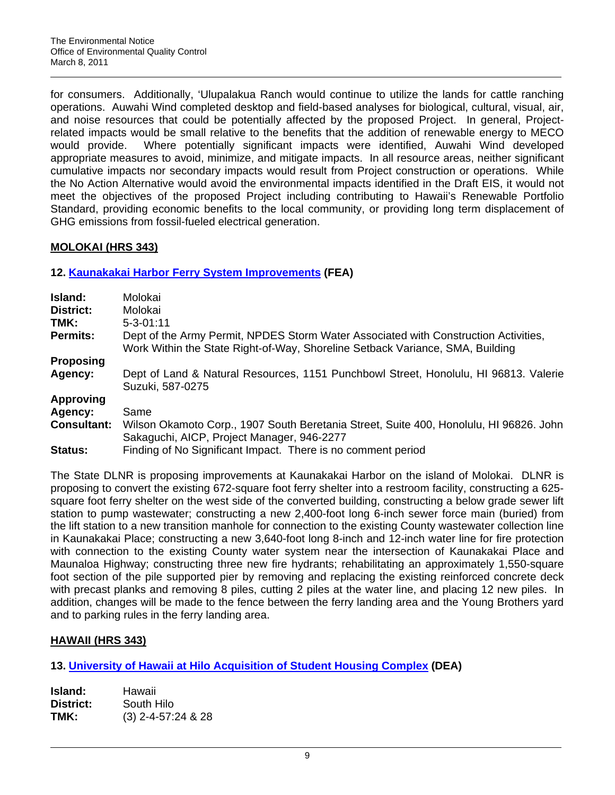for consumers. Additionally, 'Ulupalakua Ranch would continue to utilize the lands for cattle ranching operations. Auwahi Wind completed desktop and field-based analyses for biological, cultural, visual, air, and noise resources that could be potentially affected by the proposed Project. In general, Projectrelated impacts would be small relative to the benefits that the addition of renewable energy to MECO would provide. Where potentially significant impacts were identified, Auwahi Wind developed appropriate measures to avoid, minimize, and mitigate impacts. In all resource areas, neither significant cumulative impacts nor secondary impacts would result from Project construction or operations. While the No Action Alternative would avoid the environmental impacts identified in the Draft EIS, it would not meet the objectives of the proposed Project including contributing to Hawaii's Renewable Portfolio Standard, providing economic benefits to the local community, or providing long term displacement of GHG emissions from fossil-fueled electrical generation.

# **MOLOKAI (HRS 343)**

# **12. [Kaunakakai Harbor Ferry System Improvements](http://oeqc.doh.hawaii.gov/Shared%20Documents/EA_and_EIS_Online_Library/Molokai/2010s/2011-03-08-MO-FEA-Kaunakakai-Harbor-Ferry.pdf) (FEA)**

| Island:            | Molokai                                                                                                                                                              |
|--------------------|----------------------------------------------------------------------------------------------------------------------------------------------------------------------|
| District:          | Molokai                                                                                                                                                              |
| TMK:               | $5 - 3 - 01:11$                                                                                                                                                      |
| <b>Permits:</b>    | Dept of the Army Permit, NPDES Storm Water Associated with Construction Activities,<br>Work Within the State Right-of-Way, Shoreline Setback Variance, SMA, Building |
| <b>Proposing</b>   |                                                                                                                                                                      |
| Agency:            | Dept of Land & Natural Resources, 1151 Punchbowl Street, Honolulu, HI 96813. Valerie<br>Suzuki, 587-0275                                                             |
| <b>Approving</b>   |                                                                                                                                                                      |
| Agency:            | Same                                                                                                                                                                 |
| <b>Consultant:</b> | Wilson Okamoto Corp., 1907 South Beretania Street, Suite 400, Honolulu, HI 96826. John                                                                               |
|                    | Sakaguchi, AICP, Project Manager, 946-2277                                                                                                                           |
| Status:            | Finding of No Significant Impact. There is no comment period                                                                                                         |

The State DLNR is proposing improvements at Kaunakakai Harbor on the island of Molokai. DLNR is proposing to convert the existing 672-square foot ferry shelter into a restroom facility, constructing a 625 square foot ferry shelter on the west side of the converted building, constructing a below grade sewer lift station to pump wastewater; constructing a new 2,400-foot long 6-inch sewer force main (buried) from the lift station to a new transition manhole for connection to the existing County wastewater collection line in Kaunakakai Place; constructing a new 3,640-foot long 8-inch and 12-inch water line for fire protection with connection to the existing County water system near the intersection of Kaunakakai Place and Maunaloa Highway; constructing three new fire hydrants; rehabilitating an approximately 1,550-square foot section of the pile supported pier by removing and replacing the existing reinforced concrete deck with precast planks and removing 8 piles, cutting 2 piles at the water line, and placing 12 new piles. In addition, changes will be made to the fence between the ferry landing area and the Young Brothers yard and to parking rules in the ferry landing area.

# **HAWAII (HRS 343)**

**13. [University of Hawaii at Hilo Acquisition of Student Housing Complex](http://oeqc.doh.hawaii.gov/Shared%20Documents/EA_and_EIS_Online_Library/Hawaii/2010s/2011-03-08-HA-DEA-UHH-Student-Housing.pdf) (DEA)** 

| Island:   | Hawaii               |
|-----------|----------------------|
| District: | South Hilo           |
| TMK:      | $(3)$ 2-4-57:24 & 28 |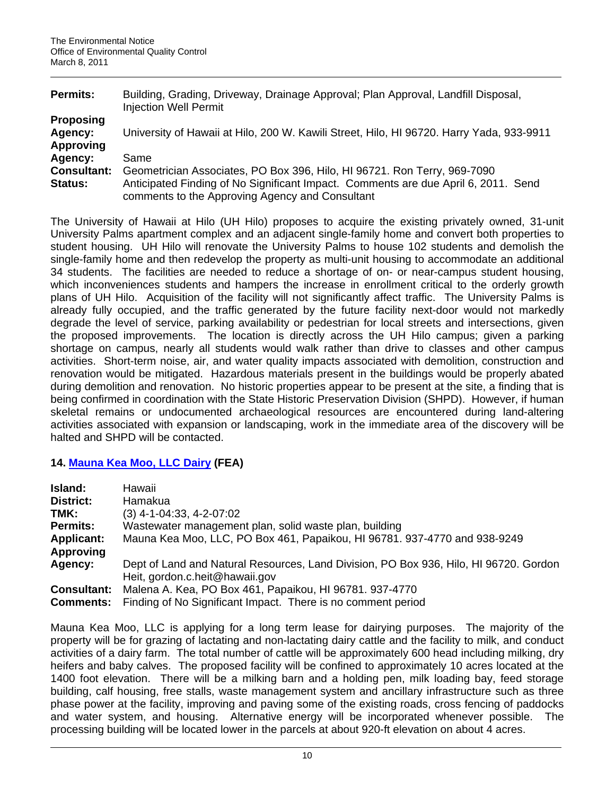| Permits:           | Building, Grading, Driveway, Drainage Approval; Plan Approval, Landfill Disposal,<br><b>Injection Well Permit</b>                     |
|--------------------|---------------------------------------------------------------------------------------------------------------------------------------|
| <b>Proposing</b>   |                                                                                                                                       |
| Agency:            | University of Hawaii at Hilo, 200 W. Kawili Street, Hilo, HI 96720. Harry Yada, 933-9911                                              |
| <b>Approving</b>   |                                                                                                                                       |
| Agency:            | Same                                                                                                                                  |
| <b>Consultant:</b> | Geometrician Associates, PO Box 396, Hilo, HI 96721. Ron Terry, 969-7090                                                              |
| <b>Status:</b>     | Anticipated Finding of No Significant Impact. Comments are due April 6, 2011. Send<br>comments to the Approving Agency and Consultant |

The University of Hawaii at Hilo (UH Hilo) proposes to acquire the existing privately owned, 31-unit University Palms apartment complex and an adjacent single-family home and convert both properties to student housing. UH Hilo will renovate the University Palms to house 102 students and demolish the single-family home and then redevelop the property as multi-unit housing to accommodate an additional 34 students. The facilities are needed to reduce a shortage of on- or near-campus student housing, which inconveniences students and hampers the increase in enrollment critical to the orderly growth plans of UH Hilo. Acquisition of the facility will not significantly affect traffic. The University Palms is already fully occupied, and the traffic generated by the future facility next-door would not markedly degrade the level of service, parking availability or pedestrian for local streets and intersections, given the proposed improvements. The location is directly across the UH Hilo campus; given a parking shortage on campus, nearly all students would walk rather than drive to classes and other campus activities. Short-term noise, air, and water quality impacts associated with demolition, construction and renovation would be mitigated. Hazardous materials present in the buildings would be properly abated during demolition and renovation. No historic properties appear to be present at the site, a finding that is being confirmed in coordination with the State Historic Preservation Division (SHPD). However, if human skeletal remains or undocumented archaeological resources are encountered during land-altering activities associated with expansion or landscaping, work in the immediate area of the discovery will be halted and SHPD will be contacted.

### **14. [Mauna Kea Moo, LLC Dairy](http://oeqc.doh.hawaii.gov/Shared%20Documents/EA_and_EIS_Online_Library/Hawaii/2010s/2011-03-08-HA-FEA-Mauna-Kea-Moo.pdf) (FEA)**

| Island:            | Hawaii                                                                                                                  |
|--------------------|-------------------------------------------------------------------------------------------------------------------------|
| <b>District:</b>   | Hamakua                                                                                                                 |
| TMK:               | $(3)$ 4-1-04:33, 4-2-07:02                                                                                              |
| <b>Permits:</b>    | Wastewater management plan, solid waste plan, building                                                                  |
| <b>Applicant:</b>  | Mauna Kea Moo, LLC, PO Box 461, Papaikou, HI 96781. 937-4770 and 938-9249                                               |
| <b>Approving</b>   |                                                                                                                         |
| Agency:            | Dept of Land and Natural Resources, Land Division, PO Box 936, Hilo, HI 96720. Gordon<br>Heit, gordon.c.heit@hawaii.gov |
| <b>Consultant:</b> | Malena A. Kea, PO Box 461, Papaikou, HI 96781, 937-4770                                                                 |
| <b>Comments:</b>   | Finding of No Significant Impact. There is no comment period                                                            |

Mauna Kea Moo, LLC is applying for a long term lease for dairying purposes. The majority of the property will be for grazing of lactating and non-lactating dairy cattle and the facility to milk, and conduct activities of a dairy farm. The total number of cattle will be approximately 600 head including milking, dry heifers and baby calves. The proposed facility will be confined to approximately 10 acres located at the 1400 foot elevation. There will be a milking barn and a holding pen, milk loading bay, feed storage building, calf housing, free stalls, waste management system and ancillary infrastructure such as three phase power at the facility, improving and paving some of the existing roads, cross fencing of paddocks and water system, and housing. Alternative energy will be incorporated whenever possible. The processing building will be located lower in the parcels at about 920-ft elevation on about 4 acres.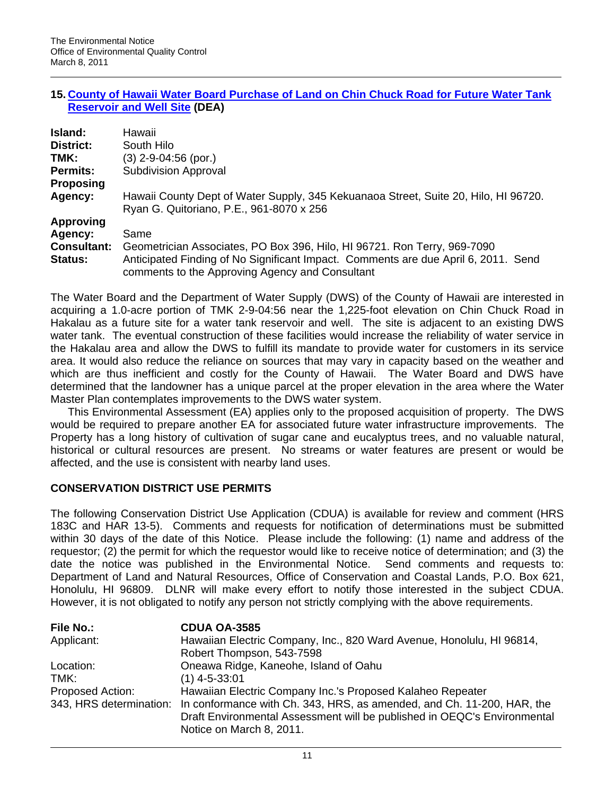### **15. [County of Hawaii Water Board Purchase of Land on Chin Chuck Road for Future Water Tank](http://oeqc.doh.hawaii.gov/Shared%20Documents/EA_and_EIS_Online_Library/Hawaii/2010s/2011-03-08-HA-DEA-Hakalau-DWS-ChinChuck.pdf)  [Reservoir and Well Site](http://oeqc.doh.hawaii.gov/Shared%20Documents/EA_and_EIS_Online_Library/Hawaii/2010s/2011-03-08-HA-DEA-Hakalau-DWS-ChinChuck.pdf) (DEA)**

| Island:            | Hawaii                                                                                                                                |
|--------------------|---------------------------------------------------------------------------------------------------------------------------------------|
| District:          | South Hilo                                                                                                                            |
| TMK:               | (3) 2-9-04:56 (por.)                                                                                                                  |
| <b>Permits:</b>    | <b>Subdivision Approval</b>                                                                                                           |
| <b>Proposing</b>   |                                                                                                                                       |
| Agency:            | Hawaii County Dept of Water Supply, 345 Kekuanaoa Street, Suite 20, Hilo, HI 96720.<br>Ryan G. Quitoriano, P.E., 961-8070 x 256       |
| <b>Approving</b>   |                                                                                                                                       |
| Agency:            | Same                                                                                                                                  |
| <b>Consultant:</b> | Geometrician Associates, PO Box 396, Hilo, HI 96721. Ron Terry, 969-7090                                                              |
| <b>Status:</b>     | Anticipated Finding of No Significant Impact. Comments are due April 6, 2011. Send<br>comments to the Approving Agency and Consultant |

The Water Board and the Department of Water Supply (DWS) of the County of Hawaii are interested in acquiring a 1.0-acre portion of TMK 2-9-04:56 near the 1,225-foot elevation on Chin Chuck Road in Hakalau as a future site for a water tank reservoir and well. The site is adjacent to an existing DWS water tank. The eventual construction of these facilities would increase the reliability of water service in the Hakalau area and allow the DWS to fulfill its mandate to provide water for customers in its service area. It would also reduce the reliance on sources that may vary in capacity based on the weather and which are thus inefficient and costly for the County of Hawaii. The Water Board and DWS have determined that the landowner has a unique parcel at the proper elevation in the area where the Water Master Plan contemplates improvements to the DWS water system.

This Environmental Assessment (EA) applies only to the proposed acquisition of property. The DWS would be required to prepare another EA for associated future water infrastructure improvements. The Property has a long history of cultivation of sugar cane and eucalyptus trees, and no valuable natural, historical or cultural resources are present. No streams or water features are present or would be affected, and the use is consistent with nearby land uses.

### **CONSERVATION DISTRICT USE PERMITS**

The following Conservation District Use Application (CDUA) is available for review and comment (HRS 183C and HAR 13-5). Comments and requests for notification of determinations must be submitted within 30 days of the date of this Notice. Please include the following: (1) name and address of the requestor; (2) the permit for which the requestor would like to receive notice of determination; and (3) the date the notice was published in the Environmental Notice. Send comments and requests to: Department of Land and Natural Resources, Office of Conservation and Coastal Lands, P.O. Box 621, Honolulu, HI 96809. DLNR will make every effort to notify those interested in the subject CDUA. However, it is not obligated to notify any person not strictly complying with the above requirements.

| <b>File No.:</b> | <b>CDUA OA-3585</b>                                                                            |
|------------------|------------------------------------------------------------------------------------------------|
| Applicant:       | Hawaiian Electric Company, Inc., 820 Ward Avenue, Honolulu, HI 96814,                          |
|                  | Robert Thompson, 543-7598                                                                      |
| Location:        | Oneawa Ridge, Kaneohe, Island of Oahu                                                          |
| TMK:             | $(1)$ 4-5-33:01                                                                                |
| Proposed Action: | Hawaiian Electric Company Inc.'s Proposed Kalaheo Repeater                                     |
|                  | 343, HRS determination: In conformance with Ch. 343, HRS, as amended, and Ch. 11-200, HAR, the |
|                  | Draft Environmental Assessment will be published in OEQC's Environmental                       |
|                  | Notice on March 8, 2011.                                                                       |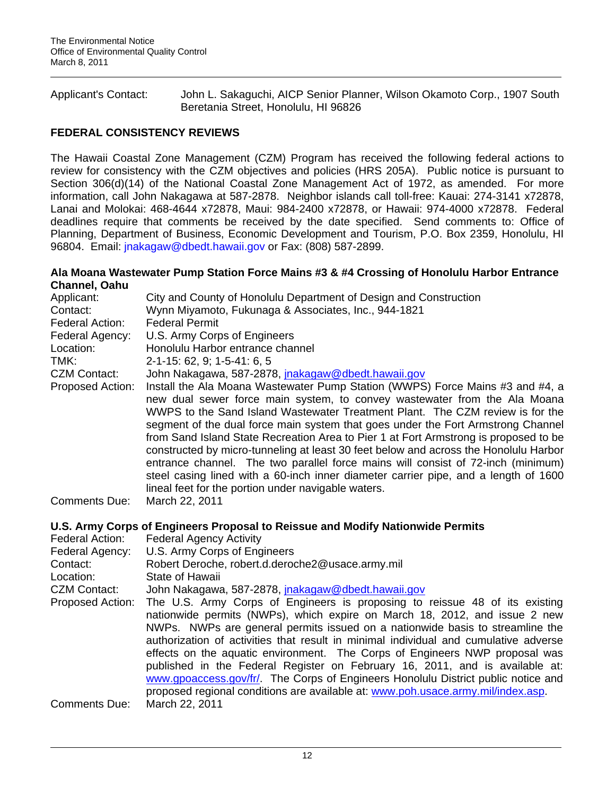Applicant's Contact: John L. Sakaguchi, AICP Senior Planner, Wilson Okamoto Corp., 1907 South Beretania Street, Honolulu, HI 96826

# **FEDERAL CONSISTENCY REVIEWS**

The Hawaii Coastal Zone Management (CZM) Program has received the following federal actions to review for consistency with the CZM objectives and policies (HRS 205A). Public notice is pursuant to Section 306(d)(14) of the National Coastal Zone Management Act of 1972, as amended. For more information, call John Nakagawa at 587-2878. Neighbor islands call toll-free: Kauai: 274-3141 x72878, Lanai and Molokai: 468-4644 x72878, Maui: 984-2400 x72878, or Hawaii: 974-4000 x72878. Federal deadlines require that comments be received by the date specified. Send comments to: Office of Planning, Department of Business, Economic Development and Tourism, P.O. Box 2359, Honolulu, HI 96804. Email: [jnakagaw@dbedt.hawaii.gov](mailto:jnakagaw@dbedt.hawaii.gov) or Fax: (808) 587-2899.

### **Ala Moana Wastewater Pump Station Force Mains #3 & #4 Crossing of Honolulu Harbor Entrance Channel, Oahu**

| Applicant:<br>Contact:<br>Federal Action:<br>Federal Agency:<br>Location: | City and County of Honolulu Department of Design and Construction<br>Wynn Miyamoto, Fukunaga & Associates, Inc., 944-1821<br><b>Federal Permit</b><br>U.S. Army Corps of Engineers<br>Honolulu Harbor entrance channel                                                                                                                                                                                                                                                                                                                                                                                                                                                                                                                            |
|---------------------------------------------------------------------------|---------------------------------------------------------------------------------------------------------------------------------------------------------------------------------------------------------------------------------------------------------------------------------------------------------------------------------------------------------------------------------------------------------------------------------------------------------------------------------------------------------------------------------------------------------------------------------------------------------------------------------------------------------------------------------------------------------------------------------------------------|
| TMK:                                                                      | $2-1-15: 62, 9; 1-5-41: 6, 5$                                                                                                                                                                                                                                                                                                                                                                                                                                                                                                                                                                                                                                                                                                                     |
| <b>CZM Contact:</b>                                                       | John Nakagawa, 587-2878, jnakagaw@dbedt.hawaii.gov                                                                                                                                                                                                                                                                                                                                                                                                                                                                                                                                                                                                                                                                                                |
| Proposed Action:                                                          | Install the Ala Moana Wastewater Pump Station (WWPS) Force Mains #3 and #4, a<br>new dual sewer force main system, to convey wastewater from the Ala Moana<br>WWPS to the Sand Island Wastewater Treatment Plant. The CZM review is for the<br>segment of the dual force main system that goes under the Fort Armstrong Channel<br>from Sand Island State Recreation Area to Pier 1 at Fort Armstrong is proposed to be<br>constructed by micro-tunneling at least 30 feet below and across the Honolulu Harbor<br>entrance channel. The two parallel force mains will consist of 72-inch (minimum)<br>steel casing lined with a 60-inch inner diameter carrier pipe, and a length of 1600<br>lineal feet for the portion under navigable waters. |
| Comments Due:                                                             | March 22, 2011                                                                                                                                                                                                                                                                                                                                                                                                                                                                                                                                                                                                                                                                                                                                    |
|                                                                           | U.S. Army Corps of Engineers Proposal to Reissue and Modify Nationwide Permits                                                                                                                                                                                                                                                                                                                                                                                                                                                                                                                                                                                                                                                                    |
| Federal Action:                                                           | <b>Federal Agency Activity</b>                                                                                                                                                                                                                                                                                                                                                                                                                                                                                                                                                                                                                                                                                                                    |
| Federal Agency:                                                           | U.S. Army Corps of Engineers                                                                                                                                                                                                                                                                                                                                                                                                                                                                                                                                                                                                                                                                                                                      |
| Contact:                                                                  | Robert Deroche, robert.d.deroche2@usace.army.mil                                                                                                                                                                                                                                                                                                                                                                                                                                                                                                                                                                                                                                                                                                  |
| Location:                                                                 | State of Hawaii                                                                                                                                                                                                                                                                                                                                                                                                                                                                                                                                                                                                                                                                                                                                   |
| <b>CZM Contact:</b>                                                       | John Nakagawa, 587-2878, jnakagaw@dbedt.hawaii.gov                                                                                                                                                                                                                                                                                                                                                                                                                                                                                                                                                                                                                                                                                                |
|                                                                           | The HO Associated Testerior is seen and advertised to $\mathcal{A}$                                                                                                                                                                                                                                                                                                                                                                                                                                                                                                                                                                                                                                                                               |

Proposed Action: The U.S. Army Corps of Engineers is proposing to reissue 48 of its existing nationwide permits (NWPs), which expire on March 18, 2012, and issue 2 new NWPs. NWPs are general permits issued on a nationwide basis to streamline the authorization of activities that result in minimal individual and cumulative adverse effects on the aquatic environment. The Corps of Engineers NWP proposal was published in the Federal Register on February 16, 2011, and is available at: [www.gpoaccess.gov/fr/.](http://www.gpoaccess.gov/fr/) The Corps of Engineers Honolulu District public notice and proposed regional conditions are available at: [www.poh.usace.army.mil/index.asp](http://www.poh.usace.army.mil/index.asp). Comments Due: March 22, 2011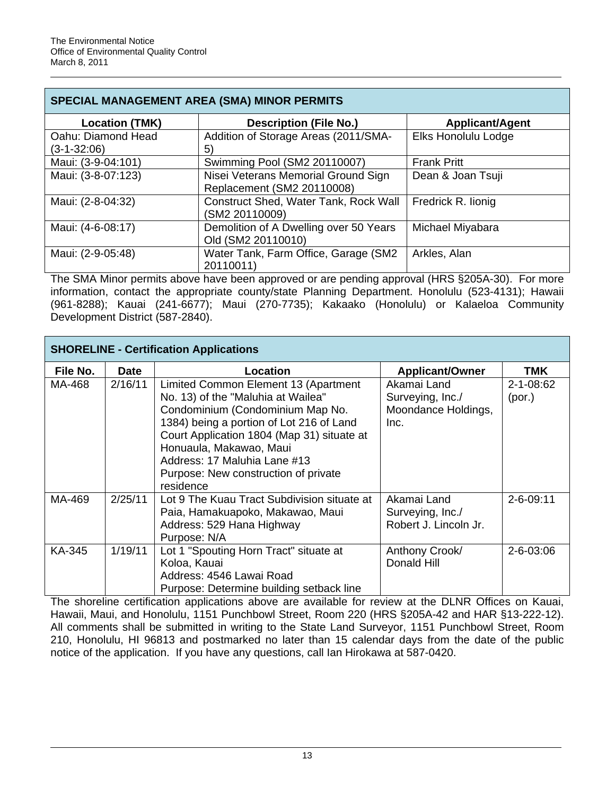| <b>SPECIAL MANAGEMENT AREA (SMA) MINOR PERMITS</b> |                                                                   |                        |  |  |
|----------------------------------------------------|-------------------------------------------------------------------|------------------------|--|--|
| <b>Location (TMK)</b>                              | <b>Description (File No.)</b>                                     | <b>Applicant/Agent</b> |  |  |
| Oahu: Diamond Head<br>$(3-1-32:06)$                | Addition of Storage Areas (2011/SMA-<br>5)                        | Elks Honolulu Lodge    |  |  |
| Maui: (3-9-04:101)                                 | Swimming Pool (SM2 20110007)                                      | <b>Frank Pritt</b>     |  |  |
| Maui: (3-8-07:123)                                 | Nisei Veterans Memorial Ground Sign<br>Replacement (SM2 20110008) | Dean & Joan Tsuji      |  |  |
| Maui: (2-8-04:32)                                  | <b>Construct Shed, Water Tank, Rock Wall</b><br>(SM2 20110009)    | Fredrick R. lionig     |  |  |
| Maui: (4-6-08:17)                                  | Demolition of A Dwelling over 50 Years<br>Old (SM2 20110010)      | Michael Miyabara       |  |  |
| Maui: (2-9-05:48)                                  | Water Tank, Farm Office, Garage (SM2)<br>20110011)                | Arkles, Alan           |  |  |

The SMA Minor permits above have been approved or are pending approval (HRS §205A-30). For more information, contact the appropriate county/state Planning Department. Honolulu (523-4131); Hawaii (961-8288); Kauai (241-6677); Maui (270-7735); Kakaako (Honolulu) or Kalaeloa Community Development District (587-2840).

| <b>SHORELINE - Certification Applications</b> |             |                                                                                                                                                                                                                                                                                                                          |                                                                |                           |  |
|-----------------------------------------------|-------------|--------------------------------------------------------------------------------------------------------------------------------------------------------------------------------------------------------------------------------------------------------------------------------------------------------------------------|----------------------------------------------------------------|---------------------------|--|
| File No.                                      | <b>Date</b> | Location                                                                                                                                                                                                                                                                                                                 | <b>Applicant/Owner</b>                                         | <b>TMK</b>                |  |
| MA-468                                        | 2/16/11     | Limited Common Element 13 (Apartment<br>No. 13) of the "Maluhia at Wailea"<br>Condominium (Condominium Map No.<br>1384) being a portion of Lot 216 of Land<br>Court Application 1804 (Map 31) situate at<br>Honuaula, Makawao, Maui<br>Address: 17 Maluhia Lane #13<br>Purpose: New construction of private<br>residence | Akamai Land<br>Surveying, Inc./<br>Moondance Holdings,<br>Inc. | $2 - 1 - 08:62$<br>(por.) |  |
| MA-469                                        | 2/25/11     | Lot 9 The Kuau Tract Subdivision situate at<br>Paia, Hamakuapoko, Makawao, Maui<br>Address: 529 Hana Highway<br>Purpose: N/A                                                                                                                                                                                             | Akamai Land<br>Surveying, Inc./<br>Robert J. Lincoln Jr.       | 2-6-09:11                 |  |
| KA-345                                        | 1/19/11     | Lot 1 "Spouting Horn Tract" situate at<br>Koloa, Kauai<br>Address: 4546 Lawai Road<br>Purpose: Determine building setback line                                                                                                                                                                                           | Anthony Crook/<br>Donald Hill                                  | 2-6-03:06                 |  |

The shoreline certification applications above are available for review at the DLNR Offices on Kauai, Hawaii, Maui, and Honolulu, 1151 Punchbowl Street, Room 220 (HRS §205A-42 and HAR §13-222-12). All comments shall be submitted in writing to the State Land Surveyor, 1151 Punchbowl Street, Room 210, Honolulu, HI 96813 and postmarked no later than 15 calendar days from the date of the public notice of the application. If you have any questions, call Ian Hirokawa at 587-0420.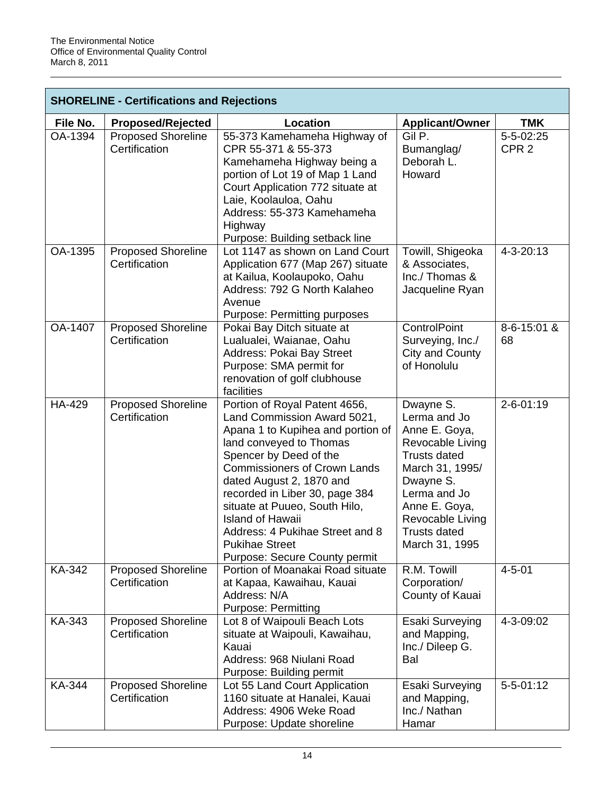| <b>SHORELINE - Certifications and Rejections</b> |                                            |                                                                                                                                                                                                                                                                                                                                                                                                                      |                                                                                                                                                                                                                     |                               |
|--------------------------------------------------|--------------------------------------------|----------------------------------------------------------------------------------------------------------------------------------------------------------------------------------------------------------------------------------------------------------------------------------------------------------------------------------------------------------------------------------------------------------------------|---------------------------------------------------------------------------------------------------------------------------------------------------------------------------------------------------------------------|-------------------------------|
| File No.                                         | <b>Proposed/Rejected</b>                   | <b>Location</b>                                                                                                                                                                                                                                                                                                                                                                                                      | <b>Applicant/Owner</b>                                                                                                                                                                                              | <b>TMK</b>                    |
| OA-1394                                          | <b>Proposed Shoreline</b><br>Certification | 55-373 Kamehameha Highway of<br>CPR 55-371 & 55-373<br>Kamehameha Highway being a<br>portion of Lot 19 of Map 1 Land<br>Court Application 772 situate at<br>Laie, Koolauloa, Oahu<br>Address: 55-373 Kamehameha<br>Highway<br>Purpose: Building setback line                                                                                                                                                         | Gil P.<br>Bumanglag/<br>Deborah L.<br>Howard                                                                                                                                                                        | 5-5-02:25<br>CPR <sub>2</sub> |
| OA-1395                                          | <b>Proposed Shoreline</b><br>Certification | Lot 1147 as shown on Land Court<br>Application 677 (Map 267) situate<br>at Kailua, Koolaupoko, Oahu<br>Address: 792 G North Kalaheo<br>Avenue<br><b>Purpose: Permitting purposes</b>                                                                                                                                                                                                                                 | Towill, Shigeoka<br>& Associates,<br>Inc./ Thomas &<br>Jacqueline Ryan                                                                                                                                              | 4-3-20:13                     |
| <b>OA-1407</b>                                   | <b>Proposed Shoreline</b><br>Certification | Pokai Bay Ditch situate at<br>Lualualei, Waianae, Oahu<br><b>Address: Pokai Bay Street</b><br>Purpose: SMA permit for<br>renovation of golf clubhouse<br>facilities                                                                                                                                                                                                                                                  | <b>ControlPoint</b><br>Surveying, Inc./<br>City and County<br>of Honolulu                                                                                                                                           | 8-6-15:01 &<br>68             |
| <b>HA-429</b>                                    | <b>Proposed Shoreline</b><br>Certification | Portion of Royal Patent 4656,<br>Land Commission Award 5021,<br>Apana 1 to Kupihea and portion of<br>land conveyed to Thomas<br>Spencer by Deed of the<br><b>Commissioners of Crown Lands</b><br>dated August 2, 1870 and<br>recorded in Liber 30, page 384<br>situate at Puueo, South Hilo,<br><b>Island of Hawaii</b><br>Address: 4 Pukihae Street and 8<br><b>Pukihae Street</b><br>Purpose: Secure County permit | Dwayne S.<br>Lerma and Jo<br>Anne E. Goya,<br>Revocable Living<br><b>Trusts dated</b><br>March 31, 1995/<br>Dwayne S.<br>Lerma and Jo<br>Anne E. Goya,<br>Revocable Living<br><b>Trusts dated</b><br>March 31, 1995 | 2-6-01:19                     |
| KA-342                                           | <b>Proposed Shoreline</b><br>Certification | Portion of Moanakai Road situate<br>at Kapaa, Kawaihau, Kauai<br>Address: N/A<br><b>Purpose: Permitting</b>                                                                                                                                                                                                                                                                                                          | R.M. Towill<br>Corporation/<br>County of Kauai                                                                                                                                                                      | $4 - 5 - 01$                  |
| KA-343                                           | <b>Proposed Shoreline</b><br>Certification | Lot 8 of Waipouli Beach Lots<br>situate at Waipouli, Kawaihau,<br>Kauai<br>Address: 968 Niulani Road<br>Purpose: Building permit                                                                                                                                                                                                                                                                                     | Esaki Surveying<br>and Mapping,<br>Inc./ Dileep G.<br>Bal                                                                                                                                                           | 4-3-09:02                     |
| <b>KA-344</b>                                    | <b>Proposed Shoreline</b><br>Certification | Lot 55 Land Court Application<br>1160 situate at Hanalei, Kauai<br>Address: 4906 Weke Road<br>Purpose: Update shoreline                                                                                                                                                                                                                                                                                              | Esaki Surveying<br>and Mapping,<br>Inc./ Nathan<br>Hamar                                                                                                                                                            | $5 - 5 - 01:12$               |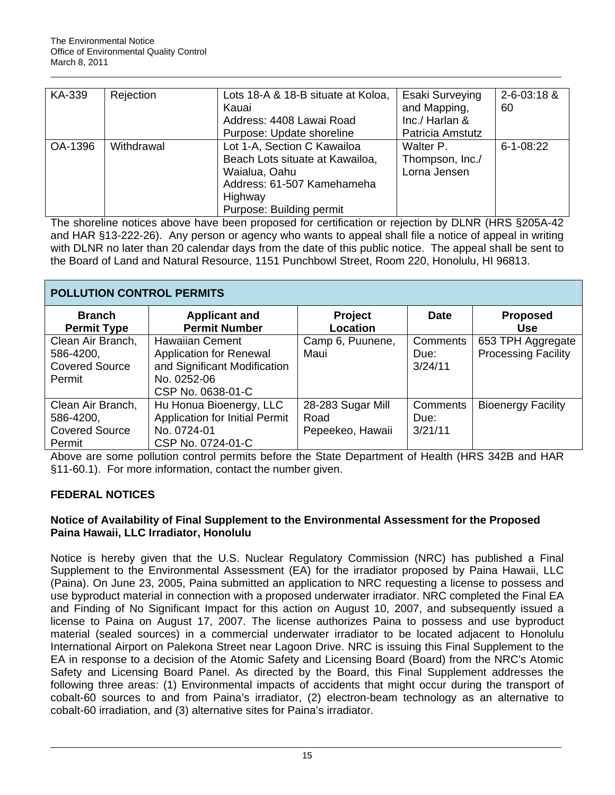| KA-339  | Rejection  | Lots 18-A & 18-B situate at Koloa, | Esaki Surveying  | 2-6-03:18 &     |
|---------|------------|------------------------------------|------------------|-----------------|
|         |            | Kauai                              | and Mapping,     | 60              |
|         |            | Address: 4408 Lawai Road           | Inc./ Harlan &   |                 |
|         |            | Purpose: Update shoreline          | Patricia Amstutz |                 |
| OA-1396 | Withdrawal | Lot 1-A, Section C Kawailoa        | Walter P.        | $6 - 1 - 08:22$ |
|         |            | Beach Lots situate at Kawailoa,    | Thompson, Inc./  |                 |
|         |            | Waialua, Oahu                      | Lorna Jensen     |                 |
|         |            | Address: 61-507 Kamehameha         |                  |                 |
|         |            | Highway                            |                  |                 |
|         |            | Purpose: Building permit           |                  |                 |

The shoreline notices above have been proposed for certification or rejection by DLNR (HRS §205A-42 and HAR §13-222-26). Any person or agency who wants to appeal shall file a notice of appeal in writing with DLNR no later than 20 calendar days from the date of this public notice. The appeal shall be sent to the Board of Land and Natural Resource, 1151 Punchbowl Street, Room 220, Honolulu, HI 96813.

| <b>POLLUTION CONTROL PERMITS</b>                                  |                                                                                                                       |                                               |                             |                                                 |  |
|-------------------------------------------------------------------|-----------------------------------------------------------------------------------------------------------------------|-----------------------------------------------|-----------------------------|-------------------------------------------------|--|
| <b>Branch</b><br><b>Permit Type</b>                               | <b>Applicant and</b><br><b>Permit Number</b>                                                                          | <b>Project</b><br>Location                    | <b>Date</b>                 | <b>Proposed</b><br><b>Use</b>                   |  |
| Clean Air Branch,<br>586-4200,<br><b>Covered Source</b><br>Permit | <b>Hawaiian Cement</b><br>Application for Renewal<br>and Significant Modification<br>No. 0252-06<br>CSP No. 0638-01-C | Camp 6, Puunene,<br>Maui                      | Comments<br>Due:<br>3/24/11 | 653 TPH Aggregate<br><b>Processing Facility</b> |  |
| Clean Air Branch,<br>586-4200,<br><b>Covered Source</b><br>Permit | Hu Honua Bioenergy, LLC<br><b>Application for Initial Permit</b><br>No. 0724-01<br>CSP No. 0724-01-C                  | 28-283 Sugar Mill<br>Road<br>Pepeekeo, Hawaii | Comments<br>Due:<br>3/21/11 | <b>Bioenergy Facility</b>                       |  |

Above are some pollution control permits before the State Department of Health (HRS 342B and HAR §11-60.1). For more information, contact the number given.

# **FEDERAL NOTICES**

# **Notice of Availability of Final Supplement to the Environmental Assessment for the Proposed Paina Hawaii, LLC Irradiator, Honolulu**

Notice is hereby given that the U.S. Nuclear Regulatory Commission (NRC) has published a Final Supplement to the Environmental Assessment (EA) for the irradiator proposed by Paina Hawaii, LLC (Paina). On June 23, 2005, Paina submitted an application to NRC requesting a license to possess and use byproduct material in connection with a proposed underwater irradiator. NRC completed the Final EA and Finding of No Significant Impact for this action on August 10, 2007, and subsequently issued a license to Paina on August 17, 2007. The license authorizes Paina to possess and use byproduct material (sealed sources) in a commercial underwater irradiator to be located adjacent to Honolulu International Airport on Palekona Street near Lagoon Drive. NRC is issuing this Final Supplement to the EA in response to a decision of the Atomic Safety and Licensing Board (Board) from the NRC's Atomic Safety and Licensing Board Panel. As directed by the Board, this Final Supplement addresses the following three areas: (1) Environmental impacts of accidents that might occur during the transport of cobalt-60 sources to and from Paina's irradiator, (2) electron-beam technology as an alternative to cobalt-60 irradiation, and (3) alternative sites for Paina's irradiator.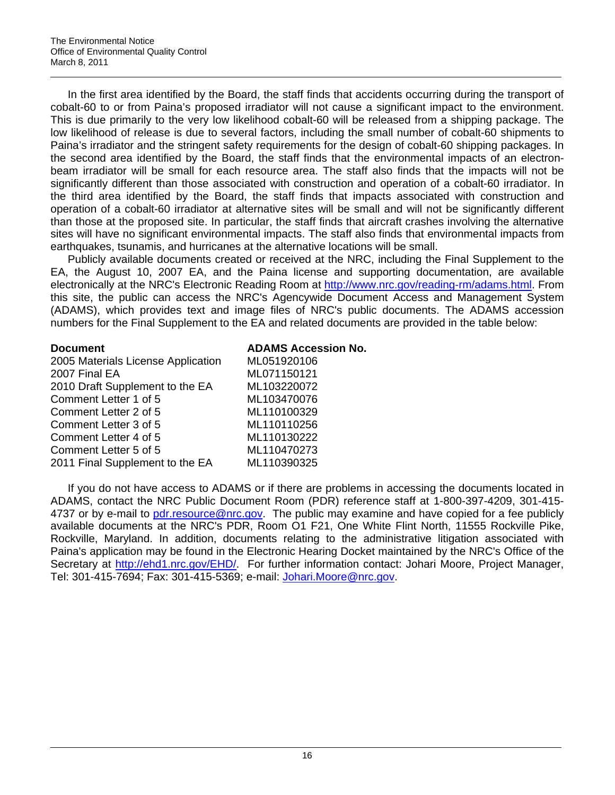In the first area identified by the Board, the staff finds that accidents occurring during the transport of cobalt-60 to or from Paina's proposed irradiator will not cause a significant impact to the environment. This is due primarily to the very low likelihood cobalt-60 will be released from a shipping package. The low likelihood of release is due to several factors, including the small number of cobalt-60 shipments to Paina's irradiator and the stringent safety requirements for the design of cobalt-60 shipping packages. In the second area identified by the Board, the staff finds that the environmental impacts of an electronbeam irradiator will be small for each resource area. The staff also finds that the impacts will not be significantly different than those associated with construction and operation of a cobalt-60 irradiator. In the third area identified by the Board, the staff finds that impacts associated with construction and operation of a cobalt-60 irradiator at alternative sites will be small and will not be significantly different than those at the proposed site. In particular, the staff finds that aircraft crashes involving the alternative sites will have no significant environmental impacts. The staff also finds that environmental impacts from earthquakes, tsunamis, and hurricanes at the alternative locations will be small.

Publicly available documents created or received at the NRC, including the Final Supplement to the EA, the August 10, 2007 EA, and the Paina license and supporting documentation, are available electronically at the NRC's Electronic Reading Room at [http://www.nrc.gov/reading-rm/adams.html.](http://www.nrc.gov/reading-rm/adams.html) From this site, the public can access the NRC's Agencywide Document Access and Management System (ADAMS), which provides text and image files of NRC's public documents. The ADAMS accession numbers for the Final Supplement to the EA and related documents are provided in the table below:

| <b>Document</b>                    | <b>ADAMS Accession No.</b> |
|------------------------------------|----------------------------|
| 2005 Materials License Application | ML051920106                |
| 2007 Final EA                      | ML071150121                |
| 2010 Draft Supplement to the EA    | ML103220072                |
| Comment Letter 1 of 5              | ML103470076                |
| Comment Letter 2 of 5              | ML110100329                |
| Comment Letter 3 of 5              | ML110110256                |
| Comment Letter 4 of 5              | ML110130222                |
| Comment Letter 5 of 5              | ML110470273                |
| 2011 Final Supplement to the EA    | ML110390325                |

If you do not have access to ADAMS or if there are problems in accessing the documents located in ADAMS, contact the NRC Public Document Room (PDR) reference staff at 1-800-397-4209, 301-415 4737 or by e-mail to [pdr.resource@nrc.gov.](mailto:pdr.resource@nrc.gov) The public may examine and have copied for a fee publicly available documents at the NRC's PDR, Room O1 F21, One White Flint North, 11555 Rockville Pike, Rockville, Maryland. In addition, documents relating to the administrative litigation associated with Paina's application may be found in the Electronic Hearing Docket maintained by the NRC's Office of the Secretary at [http://ehd1.nrc.gov/EHD/](http://frwebgate.access.gpo.gov/cgi-bin/leaving.cgi?from=leavingFR.html&log=linklog&to=http://ehd1.nrc.gov/EHD/). For further information contact: Johari Moore, Project Manager, Tel: 301-415-7694; Fax: 301-415-5369; e-mail: [Johari.Moore@nrc.gov.](mailto:Johari.Moore@nrc.gov)